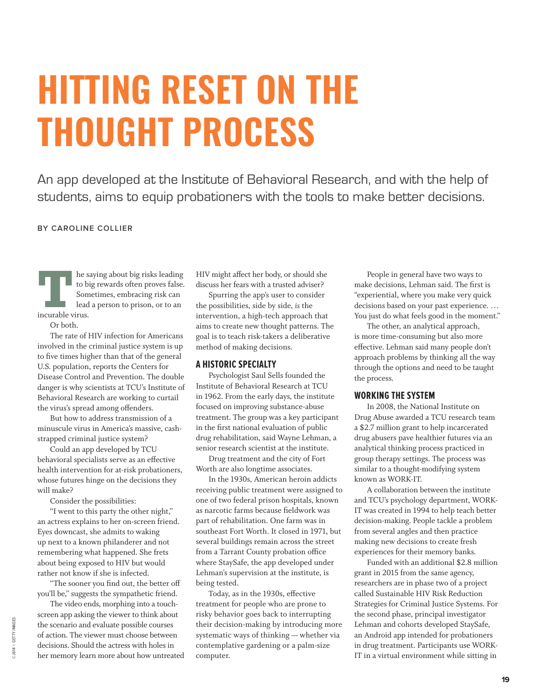# **HITTING RESET ON THE THOUGHT PROCESS**

An app developed at the Institute of Behavioral Research, and with the help of students, aims to equip probationers with the tools to make better decisions.

# **BY CAROLINE COLLIER**

**THE SERVING SET ASSEMBED ASSESS** to big rewards often proves false.<br>Sometimes, embracing risk can lead a person to prison, or to an incurable virus. to big rewards often proves false. Sometimes, embracing risk can lead a person to prison, or to an incurable virus.

Or both.

The rate of HIV infection for Americans involved in the criminal justice system is up to five times higher than that of the general U.S. population, reports the Centers for Disease Control and Prevention. The double danger is why scientists at TCU's Institute of Behavioral Research are working to curtail the virus's spread among offenders.

But how to address transmission of a minuscule virus in America's massive, cashstrapped criminal justice system?

Could an app developed by TCU behavioral specialists serve as an effective health intervention for at-risk probationers, whose futures hinge on the decisions they will make?

Consider the possibilities:

"I went to this party the other night," an actress explains to her on-screen friend. Eyes downcast, she admits to waking up next to a known philanderer and not remembering what happened. She frets about being exposed to HIV but would rather not know if she is infected.

"The sooner you find out, the better off you'll be," suggests the sympathetic friend.

The video ends, morphing into a touchscreen app asking the viewer to think about the scenario and evaluate possible courses of action. The viewer must choose between decisions. Should the actress with holes in her memory learn more about how untreated HIV might affect her body, or should she discuss her fears with a trusted adviser?

Spurring the app's user to consider the possibilities, side by side, *is* the intervention, a high-tech approach that aims to create new thought patterns. The goal is to teach risk-takers a deliberative method of making decisions.

# **A HISTORIC SPECIALTY**

Psychologist Saul Sells founded the Institute of Behavioral Research at TCU in 1962. From the early days, the institute focused on improving substance-abuse treatment. The group was a key participant in the first national evaluation of public drug rehabilitation, said Wayne Lehman, a senior research scientist at the institute.

Drug treatment and the city of Fort Worth are also longtime associates.

In the 1930s, American heroin addicts receiving public treatment were assigned to one of two federal prison hospitals, known as narcotic farms because fieldwork was part of rehabilitation. One farm was in southeast Fort Worth. It closed in 1971, but several buildings remain across the street from a Tarrant County probation office where StaySafe, the app developed under Lehman's supervision at the institute, is being tested.

Today, as in the 1930s, effective treatment for people who are prone to risky behavior goes back to interrupting their decision-making by introducing more systematic ways of thinking — whether via contemplative gardening or a palm-size computer.

People in general have two ways to make decisions, Lehman said. The first is "experiential, where you make very quick decisions based on your past experience. … You just do what feels good in the moment."

The other, an analytical approach, is more time-consuming but also more effective. Lehman said many people don't approach problems by thinking all the way through the options and need to be taught the process.

# **WORKING THE SYSTEM**

In 2008, the National Institute on Drug Abuse awarded a TCU research team a \$2.7 million grant to help incarcerated drug abusers pave healthier futures via an analytical thinking process practiced in group therapy settings. The process was similar to a thought-modifying system known as WORK-IT.

A collaboration between the institute and TCU's psychology department, WORK-IT was created in 1994 to help teach better decision-making. People tackle a problem from several angles and then practice making new decisions to create fresh experiences for their memory banks.

Funded with an additional \$2.8 million grant in 2015 from the same agency, researchers are in phase two of a project called Sustainable HIV Risk Reduction Strategies for Criminal Justice Systems. For the second phase, principal investigator Lehman and cohorts developed StaySafe, an Android app intended for probationers in drug treatment. Participants use WORK-IT in a virtual environment while sitting in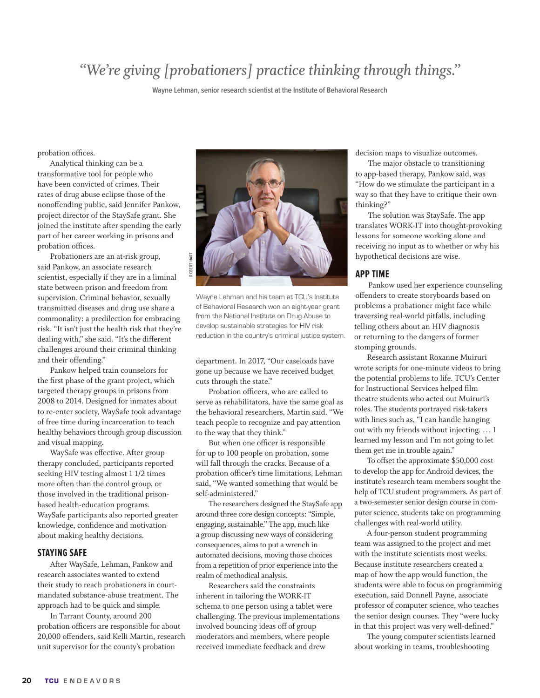# *"We're giving [probationers] practice thinking through things."*

**Wayne Lehman, senior research scientist at the Institute of Behavioral Research**

probation offices.

Analytical thinking can be a transformative tool for people who have been convicted of crimes. Their rates of drug abuse eclipse those of the nonoffending public, said Jennifer Pankow, project director of the StaySafe grant. She joined the institute after spending the early part of her career working in prisons and probation offices.

Probationers are an at-risk group, said Pankow, an associate research scientist, especially if they are in a liminal state between prison and freedom from supervision. Criminal behavior, sexually transmitted diseases and drug use share a commonality: a predilection for embracing risk. "It isn't just the health risk that they're dealing with," she said. "It's the different challenges around their criminal thinking and their offending."

Pankow helped train counselors for the first phase of the grant project, which targeted therapy groups in prisons from 2008 to 2014. Designed for inmates about to re-enter society, WaySafe took advantage of free time during incarceration to teach healthy behaviors through group discussion and visual mapping.

WaySafe was effective. After group therapy concluded, participants reported seeking HIV testing almost 1 1/2 times more often than the control group, or those involved in the traditional prisonbased health-education programs. WaySafe participants also reported greater knowledge, confidence and motivation about making healthy decisions.

## **STAYING SAFE**

After WaySafe, Lehman, Pankow and research associates wanted to extend their study to reach probationers in courtmandated substance-abuse treatment. The approach had to be quick and simple.

In Tarrant County, around 200 probation officers are responsible for about 20,000 offenders, said Kelli Martin, research unit supervisor for the county's probation



Wayne Lehman and his team at TCU's Institute of Behavioral Research won an eight-year grant from the National Institute on Drug Abuse to develop sustainable strategies for HIV risk reduction in the country's criminal justice system.

department. In 2017, "Our caseloads have gone up because we have received budget cuts through the state."

Probation officers, who are called to serve as rehabilitators, have the same goal as the behavioral researchers, Martin said. "We teach people to recognize and pay attention to the way that they think."

But when one officer is responsible for up to 100 people on probation, some will fall through the cracks. Because of a probation officer's time limitations, Lehman said, "We wanted something that would be self-administered."

The researchers designed the StaySafe app around three core design concepts: "Simple, engaging, sustainable." The app, much like a group discussing new ways of considering consequences, aims to put a wrench in automated decisions, moving those choices from a repetition of prior experience into the realm of methodical analysis.

Researchers said the constraints inherent in tailoring the WORK-IT schema to one person using a tablet were challenging. The previous implementations involved bouncing ideas off of group moderators and members, where people received immediate feedback and drew

decision maps to visualize outcomes.

The major obstacle to transitioning to app-based therapy, Pankow said, was "How do we stimulate the participant in a way so that they have to critique their own thinking?"

The solution was StaySafe. The app translates WORK-IT into thought-provoking lessons for someone working alone and receiving no input as to whether or why his hypothetical decisions are wise.

### **APP TIME**

Pankow used her experience counseling offenders to create storyboards based on problems a probationer might face while traversing real-world pitfalls, including telling others about an HIV diagnosis or returning to the dangers of former stomping grounds.

Research assistant Roxanne Muiruri wrote scripts for one-minute videos to bring the potential problems to life. TCU's Center for Instructional Services helped film theatre students who acted out Muiruri's roles. The students portrayed risk-takers with lines such as, "I can handle hanging out with my friends without injecting. … I learned my lesson and I'm not going to let them get me in trouble again."

To offset the approximate \$50,000 cost to develop the app for Android devices, the institute's research team members sought the help of TCU student programmers. As part of a two-semester senior design course in computer science, students take on programming challenges with real-world utility.

A four-person student programming team was assigned to the project and met with the institute scientists most weeks. Because institute researchers created a map of how the app would function, the students were able to focus on programming execution, said Donnell Payne, associate professor of computer science, who teaches the senior design courses. They "were lucky in that this project was very well-defined."

The young computer scientists learned about working in teams, troubleshooting